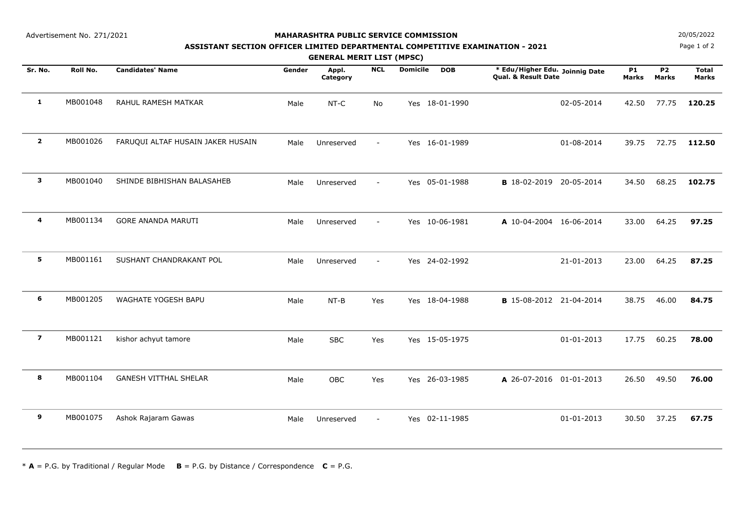Advertisement No. 271/2021

## **MAHARASHTRA PUBLIC SERVICE COMMISSION**

## **ASSISTANT SECTION OFFICER LIMITED DEPARTMENTAL COMPETITIVE EXAMINATION - 2021**

**GENERAL MERIT LIST (MPSC)**

**Sr. No.**. Roll No. Candidates' Name **the State of Apple Appl. NCL Domicile DOB the Adul** Higher Edu. Joinnig Date P1 P2 Total **Qual. & Result Date Roll No. Candidates' Name Gender Appl. DOBCategoryNCLMarksP1 MarksP2 MarksDomicile1** MB001048 RAHUL RAMESH MATKAR Male NT-C No Yes 18-01-1990 02-05-2014 42.50 77.75 **120.25 2** MB001026 FARUQUI ALTAF HUSAIN JAKER HUSAIN Male Unreserved - Yes 16-01-1989 01-08-2014 39.75 72.75 **112.50 3** MB001040 SHINDE BIBHISHAN BALASAHEB Male Unreserved - Yes 05-01-1988 **<sup>B</sup>** 18-02-2019 00:00:00 20-05-2014 34.50 68.25 **102.75 4** MB001134 GORE ANANDA MARUTI Male Unreserved - Yes 10-06-1981 **<sup>A</sup>** 10-04-2004 00:00:00 16-06-2014 33.00 64.25 **97.25 5** MB001161 SUSHANT CHANDRAKANT POL Male Unreserved - Yes 24-02-1992 21-01-2013 23.00 64.25 **87.25 6** MB001205 WAGHATE YOGESH BAPU Male NT-B Yes Yes 18-04-1988 **<sup>B</sup>** 15-08-2012 00:00:00 21-04-2014 38.75 46.00 **84.75 7** MB001121 kishor achyut tamore Male SBC Yes Yes 15-05-1975 01-01-2013 17.75 60.25 **78.00 8** MB001104 GANESH VITTHAL SHELAR Male OBC Yes Yes 26-03-1985 **<sup>A</sup>** 26-07-2016 00:00:00 01-01-2013 26.50 49.50 **76.00 9** MB001075Ashok Rajaram Gawas Male Unreserved - Yes 02-11-1985 01-01-2013 30.50 37.25 **67.75**

 $* A = P.G.$  by Traditional / Regular Mode  $B = P.G.$  by Distance / Correspondence  $C = P.G.$ 

**N**  $20/05/2022$ 

Page 1 of 2